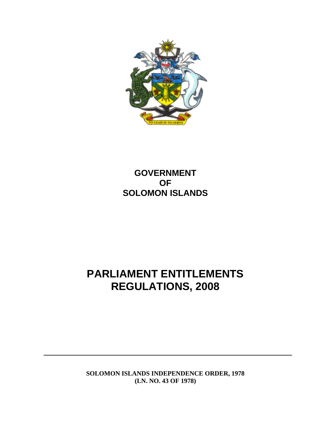

# **GOVERNMENT OF SOLOMON ISLANDS**

# **PARLIAMENT ENTITLEMENTS REGULATIONS, 2008**

**SOLOMON ISLANDS INDEPENDENCE ORDER, 1978 (LN. NO. 43 OF 1978)**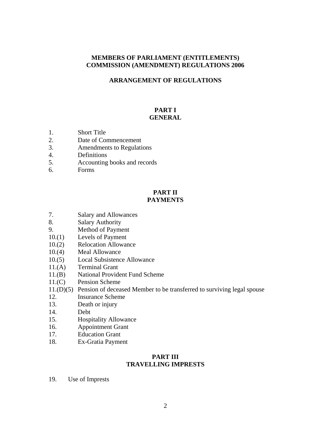#### **MEMBERS OF PARLIAMENT (ENTITLEMENTS) COMMISSION (AMENDMENT) REGULATIONS 2006**

#### **ARRANGEMENT OF REGULATIONS**

#### **PART I GENERAL**

- 1. Short Title
- 2. Date of Commencement
- 3. Amendments to Regulations
- 4. Definitions
- 5. Accounting books and records
- 6. Forms

#### **PART II PAYMENTS**

- 7. Salary and Allowances
- 8. Salary Authority
- 9. Method of Payment
- 10.(1) Levels of Payment
- 10.(2) Relocation Allowance
- 10.(4) Meal Allowance
- 10.(5) Local Subsistence Allowance
- 11.(A) Terminal Grant
- 11.(B) National Provident Fund Scheme
- 11.(C) Pension Scheme
- 11.(D)(5) Pension of deceased Member to be transferred to surviving legal spouse
- 12. Insurance Scheme
- 13. Death or injury
- 14. Debt
- 15. Hospitality Allowance
- 16. Appointment Grant
- 17. Education Grant
- 18. Ex-Gratia Payment

#### **PART III TRAVELLING IMPRESTS**

19. Use of Imprests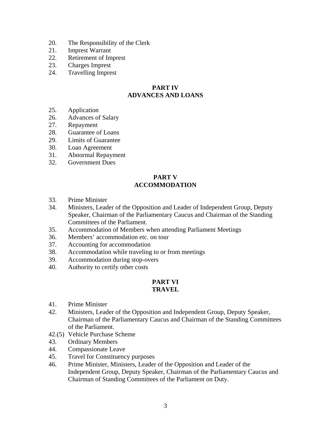- 20. The Responsibility of the Clerk
- 21. Imprest Warrant
- 22. Retirement of Imprest
- 23. Charges Imprest
- 24. Travelling Imprest

#### **PART IV ADVANCES AND LOANS**

- 25. Application
- 26. Advances of Salary
- 27. Repayment
- 28. Guarantee of Loans
- 29. Limits of Guarantee
- 30. Loan Agreement
- 31. Abnormal Repayment
- 32. Government Dues

#### **PART V ACCOMMODATION**

- 33. Prime Minister
- 34. Ministers, Leader of the Opposition and Leader of Independent Group, Deputy Speaker, Chairman of the Parliamentary Caucus and Chairman of the Standing Committees of the Parliament.
- 35. Accommodation of Members when attending Parliament Meetings
- 36. Members' accommodation etc. on tour
- 37. Accounting for accommodation
- 38. Accommodation while traveling to or from meetings
- 39. Accommodation during stop-overs
- 40. Authority to certify other costs

# **PART VI**

### **TRAVEL**

- 41. Prime Minister
- 42. Ministers, Leader of the Opposition and Independent Group, Deputy Speaker, Chairman of the Parliamentary Caucus and Chairman of the Standing Committees of the Parliament.
- 42.(5) Vehicle Purchase Scheme
- 43. Ordinary Members
- 44. Compassionate Leave
- 45. Travel for Constituency purposes
- 46. Prime Minister, Ministers, Leader of the Opposition and Leader of the Independent Group, Deputy Speaker, Chairman of the Parliamentary Caucus and Chairman of Standing Committees of the Parliament on Duty.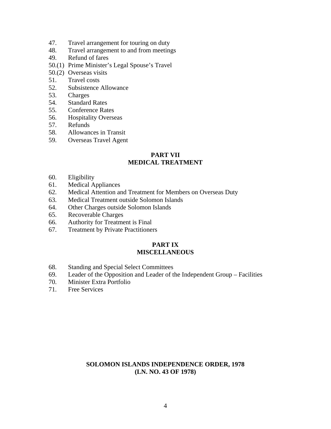- 47. Travel arrangement for touring on duty
- 48. Travel arrangement to and from meetings
- 49. Refund of fares
- 50.(1) Prime Minister's Legal Spouse's Travel
- 50.(2) Overseas visits
- 51. Travel costs
- 52. Subsistence Allowance
- 53. Charges
- 54. Standard Rates
- 55. Conference Rates
- 56. Hospitality Overseas
- 57. Refunds
- 58. Allowances in Transit
- 59. Overseas Travel Agent

#### **PART VII MEDICAL TREATMENT**

- 60. Eligibility
- 61. Medical Appliances
- 62. Medical Attention and Treatment for Members on Overseas Duty
- 63. Medical Treatment outside Solomon Islands
- 64. Other Charges outside Solomon Islands
- 65. Recoverable Charges
- 66. Authority for Treatment is Final
- 67. Treatment by Private Practitioners

#### **PART IX MISCELLANEOUS**

- 68. Standing and Special Select Committees
- 69. Leader of the Opposition and Leader of the Independent Group Facilities
- 70. Minister Extra Portfolio
- 71. Free Services

#### **SOLOMON ISLANDS INDEPENDENCE ORDER, 1978 (LN. NO. 43 OF 1978)**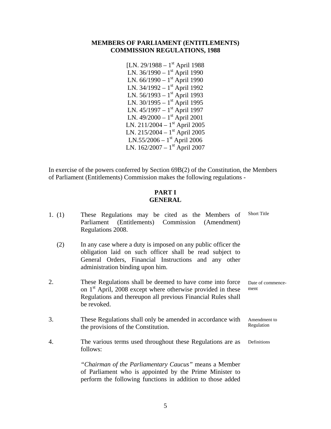#### **MEMBERS OF PARLIAMENT (ENTITLEMENTS) COMMISSION REGULATIONS, 1988**

[LN. 29/1988 –  $1<sup>st</sup>$  April 1988 LN.  $36/1990 - 1$ <sup>st</sup> April 1990 LN.  $66/1990 - 1$ <sup>st</sup> April 1990 LN. 34/1992 –  $1<sup>st</sup>$  April 1992 LN.  $56/1993 - 1$ <sup>st</sup> April 1993 LN. 30/1995 - 1<sup>st</sup> April 1995 LN.  $45/1997 - 1$ <sup>st</sup> April 1997 LN. 49/2000 – 1<sup>st</sup> April 2001 LN. 211/2004 –  $1^{st}$  April 2005 LN. 215/2004 –  $1^{st}$  April 2005 LN.55/2006 –  $1<sup>st</sup>$  April 2006 LN.  $162/2007 - 1$ <sup>st</sup> April 2007

In exercise of the powers conferred by Section 69B(2) of the Constitution, the Members of Parliament (Entitlements) Commission makes the following regulations -

#### **PART I GENERAL**

| 1. $(1)$ | These Regulations may be cited as the Members of<br>Parliament (Entitlements) Commission (Amendment)<br>Regulations 2008.                                                                                             | <b>Short Title</b>         |
|----------|-----------------------------------------------------------------------------------------------------------------------------------------------------------------------------------------------------------------------|----------------------------|
| (2)      | In any case where a duty is imposed on any public officer the<br>obligation laid on such officer shall be read subject to<br>General Orders, Financial Instructions and any other<br>administration binding upon him. |                            |
| 2.       | These Regulations shall be deemed to have come into force<br>on 1 <sup>st</sup> April, 2008 except where otherwise provided in these<br>Regulations and thereupon all previous Financial Rules shall<br>be revoked.   | Date of commence-<br>ment  |
| 3.       | These Regulations shall only be amended in accordance with<br>the provisions of the Constitution.                                                                                                                     | Amendment to<br>Regulation |
| 4.       | The various terms used throughout these Regulations are as<br>follows:                                                                                                                                                | Definitions                |
|          | "Chairman of the Parliamentary Caucus" means a Member<br>of Parliament who is appointed by the Prime Minister to<br>perform the following functions in addition to those added                                        |                            |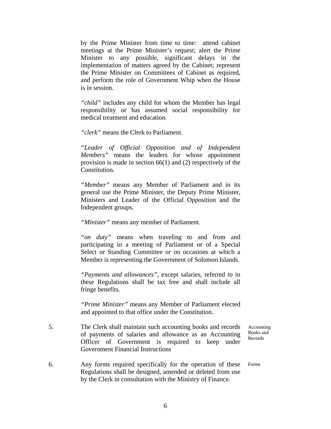by the Prime Minister from time to time: attend cabinet meetings at the Prime Minister's request; alert the Prime Minister to any possible, significant delays in the implementation of matters agreed by the Cabinet; represent the Prime Minister on Committees of Cabinet as required, and perform the role of Government Whip when the House is in session.

*"child"* includes any child for whom the Member has legal responsibility or has assumed social responsibility for medical treatment and education.

*"clerk"* means the Clerk to Parliament.

*"Leader of Official Opposition and of Independent Members"* means the leaders for whose appointment provision is made in section 66(1) and (2) respectively of the Constitution.

*"Member"* means any Member of Parliament and in its general use the Prime Minister, the Deputy Prime Minister, Ministers and Leader of the Official Opposition and the Independent groups.

*"Minister"* means any member of Parliament.

*"on duty"* means when traveling to and from and participating in a meeting of Parliament or of a Special Select or Standing Committee or on occasions at which a Member is representing the Government of Solomon Islands.

*"Payments and allowances"*, except salaries, referred to in these Regulations shall be tax free and shall include all fringe benefits.

*"Prime Minister"* means any Member of Parliament elected and appointed to that office under the Constitution.

- 5. The Clerk shall maintain such accounting books and records of payments of salaries and allowance as an Accounting Officer of Government is required to keep under Government Financial Instructions
- 6. Any forms required specifically for the operation of these Regulations shall be designed, amended or deleted from use by the Clerk in consultation with the Ministry of Finance.

Accounting Books and Records

Forms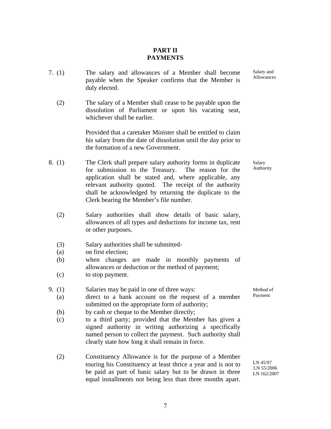#### **PART II PAYMENTS**

- 7. (1) The salary and allowances of a Member shall become payable when the Speaker confirms that the Member is duly elected.
	- (2) The salary of a Member shall cease to be payable upon the dissolution of Parliament or upon his vacating seat, whichever shall be earlier.

Provided that a caretaker Minister shall be entitled to claim his salary from the date of dissolution until the day prior to the formation of a new Government.

- 8. (1) The Clerk shall prepare salary authority forms in duplicate for submission to the Treasury. The reason for the application shall be stated and, where applicable, any relevant authority quoted. The receipt of the authority shall be acknowledged by returning the duplicate to the Clerk bearing the Member's file number.
	- (2) Salary authorities shall show details of basic salary, allowances of all types and deductions for income tax, rent or other purposes.
	- (3) Salary authorities shall be submitted-
	- (a) on first election;
	- (b) when changes are made in monthly payments of allowances or deduction or the method of payment;
	- (c) to stop payment.
- 9. (1) Salaries may be paid in one of three ways:
	- (a) direct to a bank account on the request of a member submitted on the appropriate form of authority;
	- (b) by cash or cheque to the Member directly;
	- $(c)$ to a third party; provided that the Member has given a signed authority in writing authorizing a specifically named person to collect the payment. Such authority shall clearly state how long it shall remain in force.
	- (2) Constituency Allowance is for the purpose of a Member touring his Constituency at least thrice a year and is not to be paid as part of basic salary but to be drawn in three equal installments not being less than three months apart.

Method of Payment

LN 45/97 LN 55/2006 LN 162/2007

Salary Authority

7

Salary and Allowances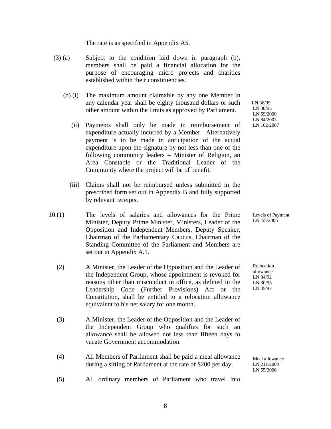The rate is as specified in Appendix A5.

- (3) (a) Subject to the condition laid down in paragraph (b), members shall be paid a financial allocation for the purpose of encouraging micro projects and charities established within their constituencies.
	- (b) (i) The maximum amount claimable by any one Member in any calendar year shall be eighty thousand dollars or such other amount within the limits as approved by Parliament.
- (ii) Payments shall only be made in reimbursement of expenditure actually incurred by a Member. Alternatively payment is to be made in anticipation of the actual expenditure upon the signature by not less than one of the following community leaders – Minister of Religion, an Area Constable or the Traditional Leader of the Community where the project will be of benefit.
- (iii) Claims shall not be reimbursed unless submitted in the prescribed form set out in Appendix B and fully supported by relevant receipts.
- $10(1)$ The levels of salaries and allowances for the Prime Minister, Deputy Prime Minister, Ministers, Leader of the Opposition and Independent Members, Deputy Speaker, Chairman of the Parliamentary Caucus, Chairman of the Standing Committee of the Parliament and Members are set out in Appendix A.1.
	- (2) A Minister, the Leader of the Opposition and the Leader of the Independent Group, whose appointment is revoked for reasons other than misconduct in office, as defined in the Leadership Code (Further Provisions) Act or the Constitution, shall be entitled to a relocation allowance equivalent to his net salary for one month.
	- (3) A Minister, the Leader of the Opposition and the Leader of the Independent Group who qualifies for such an allowance shall be allowed not less than fifteen days to vacate Government accommodation.
	- (4) All Members of Parliament shall be paid a meal allowance during a sitting of Parliament at the rate of \$200 per day.

 LN 36/99 LN 30/95 LN 59/2000 LN 84/2003 LN 162/2007

Levels of Payment LN. 55/2006

Relocation allowance LN 34/92 LN 30/95 LN 45/97

Meal allowance LN 211/2004 LN 55/2006

 (5) All ordinary members of Parliament who travel into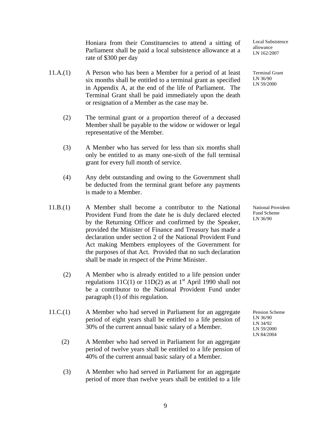Honiara from their Constituencies to attend a sitting of Parliament shall be paid a local subsistence allowance at a rate of \$300 per day

- $11.A.(1)$ A Person who has been a Member for a period of at least six months shall be entitled to a terminal grant as specified in Appendix A, at the end of the life of Parliament. The Terminal Grant shall be paid immediately upon the death or resignation of a Member as the case may be.
	- (2) The terminal grant or a proportion thereof of a deceased Member shall be payable to the widow or widower or legal representative of the Member.
	- (3) A Member who has served for less than six months shall only be entitled to as many one-sixth of the full terminal grant for every full month of service.
	- (4) Any debt outstanding and owing to the Government shall be deducted from the terminal grant before any payments is made to a Member.
- 11.B.(1) A Member shall become a contributor to the National Provident Fund from the date he is duly declared elected by the Returning Officer and confirmed by the Speaker, provided the Minister of Finance and Treasury has made a declaration under section 2 of the National Provident Fund Act making Members employees of the Government for the purposes of that Act. Provided that no such declaration shall be made in respect of the Prime Minister.
	- (2) A Member who is already entitled to a life pension under regulations 11C(1) or 11D(2) as at  $1<sup>st</sup>$  April 1990 shall not be a contributor to the National Provident Fund under paragraph (1) of this regulation.
- $11.C.(1)$ A Member who had served in Parliament for an aggregate period of eight years shall be entitled to a life pension of 30% of the current annual basic salary of a Member.
	- (2) A Member who had served in Parliament for an aggregate period of twelve years shall be entitled to a life pension of 40% of the current annual basic salary of a Member.
	- (3) A Member who had served in Parliament for an aggregate period of more than twelve years shall be entitled to a life

Local Subsistence allowance LN 162/2007

Terminal Grant LN 36/90 LN 59/2000

National Provident Fund Scheme LN 36/90

Pension Scheme LN 36/90 LN 34/92 LN 59/2000 LN 84/2004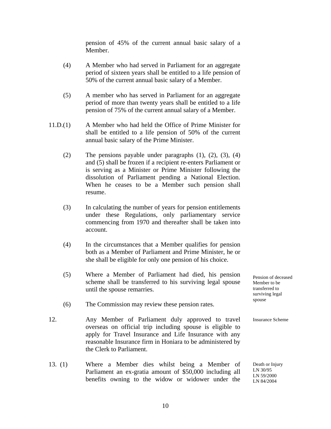pension of 45% of the current annual basic salary of a Member.

- (4) A Member who had served in Parliament for an aggregate period of sixteen years shall be entitled to a life pension of 50% of the current annual basic salary of a Member.
- (5) A member who has served in Parliament for an aggregate period of more than twenty years shall be entitled to a life pension of 75% of the current annual salary of a Member.
- 11.D.(1) A Member who had held the Office of Prime Minister for shall be entitled to a life pension of 50% of the current annual basic salary of the Prime Minister.
	- (2) The pensions payable under paragraphs  $(1)$ ,  $(2)$ ,  $(3)$ ,  $(4)$ and (5) shall be frozen if a recipient re-enters Parliament or is serving as a Minister or Prime Minister following the dissolution of Parliament pending a National Election. When he ceases to be a Member such pension shall resume.
	- (3) In calculating the number of years for pension entitlements under these Regulations, only parliamentary service commencing from 1970 and thereafter shall be taken into account.
	- (4) In the circumstances that a Member qualifies for pension both as a Member of Parliament and Prime Minister, he or she shall be eligible for only one pension of his choice.
	- (5) Where a Member of Parliament had died, his pension scheme shall be transferred to his surviving legal spouse until the spouse remarries.
	- (6) The Commission may review these pension rates.
- 12. Any Member of Parliament duly approved to travel overseas on official trip including spouse is eligible to apply for Travel Insurance and Life Insurance with any reasonable Insurance firm in Honiara to be administered by the Clerk to Parliament.
- 13. (1) Where a Member dies whilst being a Member of Parliament an ex-gratia amount of \$50,000 including all benefits owning to the widow or widower under the

Pension of deceased Member to be transferred to surviving legal spouse

Insurance Scheme

Death or Injury LN 30/95 LN 59/2000 LN 84/2004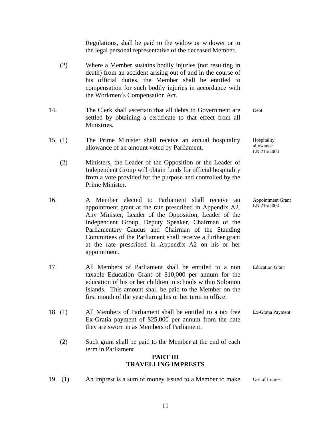|     |           | <b>PART III</b><br><b>TRAVELLING IMPRESTS</b>                                                                                                                                                                                                                                                                                                                                                                           |                                         |
|-----|-----------|-------------------------------------------------------------------------------------------------------------------------------------------------------------------------------------------------------------------------------------------------------------------------------------------------------------------------------------------------------------------------------------------------------------------------|-----------------------------------------|
|     | (2)       | Such grant shall be paid to the Member at the end of each<br>term in Parliament                                                                                                                                                                                                                                                                                                                                         |                                         |
|     | 18. $(1)$ | All Members of Parliament shall be entitled to a tax free<br>Ex-Gratia payment of \$25,000 per annum from the date<br>they are sworn in as Members of Parliament.                                                                                                                                                                                                                                                       | Ex-Gratia Payment                       |
| 17. |           | All Members of Parliament shall be entitled to a non<br>taxable Education Grant of \$10,000 per annum for the<br>education of his or her children in schools within Solomon<br>Islands. This amount shall be paid to the Member on the<br>first month of the year during his or her term in office.                                                                                                                     | <b>Education Grant</b>                  |
| 16. |           | A Member elected to Parliament shall receive<br>an<br>appointment grant at the rate prescribed in Appendix A2.<br>Any Minister, Leader of the Opposition, Leader of the<br>Independent Group, Deputy Speaker, Chairman of the<br>Parliamentary Caucus and Chairman of the Standing<br>Committees of the Parliament shall receive a further grant<br>at the rate prescribed in Appendix A2 on his or her<br>appointment. | Appointment Grant<br>LN 215/2004        |
|     | (2)       | Ministers, the Leader of the Opposition or the Leader of<br>Independent Group will obtain funds for official hospitality<br>from a vote provided for the purpose and controlled by the<br>Prime Minister.                                                                                                                                                                                                               |                                         |
|     | 15. $(1)$ | The Prime Minister shall receive an annual hospitality<br>allowance of an amount voted by Parliament.                                                                                                                                                                                                                                                                                                                   | Hospitality<br>allowance<br>LN 215/2004 |
| 14. |           | The Clerk shall ascertain that all debts to Government are<br>settled by obtaining a certificate to that effect from all<br>Ministries.                                                                                                                                                                                                                                                                                 | Debt                                    |
|     | (2)       | Where a Member sustains bodily injuries (not resulting in<br>death) from an accident arising out of and in the course of<br>his official duties, the Member shall be entitled to<br>compensation for such bodily injuries in accordance with<br>the Workmen's Compensation Act.                                                                                                                                         |                                         |
|     |           | Regulations, shall be paid to the widow or widower or to<br>the legal personal representative of the deceased Member.                                                                                                                                                                                                                                                                                                   |                                         |

19. (1) An imprest is a sum of money issued to a Member to make Use of Imprest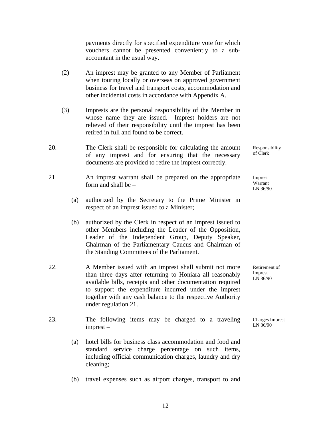payments directly for specified expenditure vote for which vouchers cannot be presented conveniently to a subaccountant in the usual way.

- (2) An imprest may be granted to any Member of Parliament when touring locally or overseas on approved government business for travel and transport costs, accommodation and other incidental costs in accordance with Appendix A.
- (3) Imprests are the personal responsibility of the Member in whose name they are issued. Imprest holders are not relieved of their responsibility until the imprest has been retired in full and found to be correct.
- 20. The Clerk shall be responsible for calculating the amount of any imprest and for ensuring that the necessary documents are provided to retire the imprest correctly.
- 21. An imprest warrant shall be prepared on the appropriate form and shall be –
	- (a) authorized by the Secretary to the Prime Minister in respect of an imprest issued to a Minister;
	- (b) authorized by the Clerk in respect of an imprest issued to other Members including the Leader of the Opposition, Leader of the Independent Group, Deputy Speaker, Chairman of the Parliamentary Caucus and Chairman of the Standing Committees of the Parliament.
- 22. A Member issued with an imprest shall submit not more than three days after returning to Honiara all reasonably available bills, receipts and other documentation required to support the expenditure incurred under the imprest together with any cash balance to the respective Authority under regulation 21.
- 23. The following items may be charged to a traveling imprest –
	- (a) hotel bills for business class accommodation and food and standard service charge percentage on such items, including official communication charges, laundry and dry cleaning;
- (b) travel expenses such as airport charges, transport to and

Responsibility of Clerk

Imprest Warrant LN 36/90

Retirement of Imprest LN 36/90

Charges Imprest LN 36/90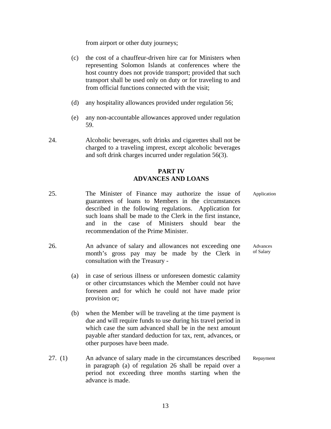from airport or other duty journeys;

- (c) the cost of a chauffeur-driven hire car for Ministers when representing Solomon Islands at conferences where the host country does not provide transport; provided that such transport shall be used only on duty or for traveling to and from official functions connected with the visit;
- (d) any hospitality allowances provided under regulation 56;
- (e) any non-accountable allowances approved under regulation 59.
- 24. Alcoholic beverages, soft drinks and cigarettes shall not be charged to a traveling imprest, except alcoholic beverages and soft drink charges incurred under regulation 56(3).

#### **PART IV ADVANCES AND LOANS**

- 25. The Minister of Finance may authorize the issue of guarantees of loans to Members in the circumstances described in the following regulations. Application for such loans shall be made to the Clerk in the first instance, and in the case of Ministers should bear the recommendation of the Prime Minister.
- 26. An advance of salary and allowances not exceeding one month's gross pay may be made by the Clerk in consultation with the Treasury -
- (a) in case of serious illness or unforeseen domestic calamity or other circumstances which the Member could not have foreseen and for which he could not have made prior provision or;
	- (b) when the Member will be traveling at the time payment is due and will require funds to use during his travel period in which case the sum advanced shall be in the next amount payable after standard deduction for tax, rent, advances, or other purposes have been made.
- 27. (1) An advance of salary made in the circumstances described in paragraph (a) of regulation 26 shall be repaid over a period not exceeding three months starting when the advance is made.

Application

Advances of Salary

Repayment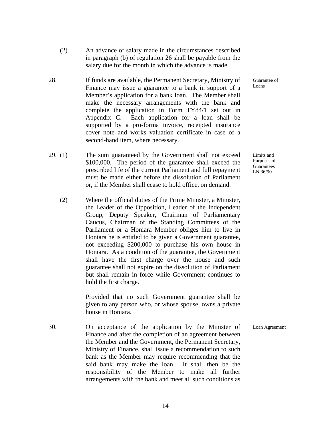- (2) An advance of salary made in the circumstances described in paragraph (b) of regulation 26 shall be payable from the salary due for the month in which the advance is made.
- 28. If funds are available, the Permanent Secretary, Ministry of Finance may issue a guarantee to a bank in support of a Member's application for a bank loan. The Member shall make the necessary arrangements with the bank and complete the application in Form TY84/1 set out in Appendix C. Each application for a loan shall be supported by a pro-forma invoice, receipted insurance cover note and works valuation certificate in case of a second-hand item, where necessary.
- 29. (1) The sum guaranteed by the Government shall not exceed \$100,000. The period of the guarantee shall exceed the prescribed life of the current Parliament and full repayment must be made either before the dissolution of Parliament or, if the Member shall cease to hold office, on demand.
	- (2) Where the official duties of the Prime Minister, a Minister, the Leader of the Opposition, Leader of the Independent Group, Deputy Speaker, Chairman of Parliamentary Caucus, Chairman of the Standing Committees of the Parliament or a Honiara Member obliges him to live in Honiara he is entitled to be given a Government guarantee, not exceeding \$200,000 to purchase his own house in Honiara. As a condition of the guarantee, the Government shall have the first charge over the house and such guarantee shall not expire on the dissolution of Parliament but shall remain in force while Government continues to hold the first charge.

Provided that no such Government guarantee shall be given to any person who, or whose spouse, owns a private house in Honiara.

30. On acceptance of the application by the Minister of Finance and after the completion of an agreement between the Member and the Government, the Permanent Secretary, Ministry of Finance, shall issue a recommendation to such bank as the Member may require recommending that the said bank may make the loan. It shall then be the responsibility of the Member to make all further arrangements with the bank and meet all such conditions as

Guarantee of Loans

Limits and Purposes of **Guarantees** LN 36/90

Loan Agreement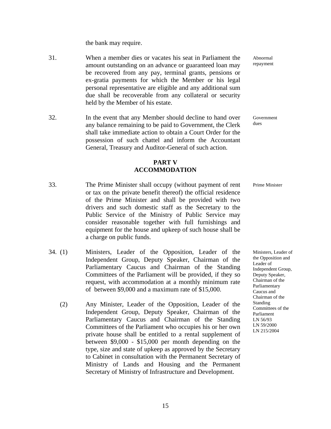the bank may require.

- 31. When a member dies or vacates his seat in Parliament the amount outstanding on an advance or guaranteed loan may be recovered from any pay, terminal grants, pensions or ex-gratia payments for which the Member or his legal personal representative are eligible and any additional sum due shall be recoverable from any collateral or security held by the Member of his estate.
- 32. In the event that any Member should decline to hand over any balance remaining to be paid to Government, the Clerk shall take immediate action to obtain a Court Order for the possession of such chattel and inform the Accountant General, Treasury and Auditor-General of such action.

#### **PART V ACCOMMODATION**

- 33. The Prime Minister shall occupy (without payment of rent or tax on the private benefit thereof) the official residence of the Prime Minister and shall be provided with two drivers and such domestic staff as the Secretary to the Public Service of the Ministry of Public Service may consider reasonable together with full furnishings and equipment for the house and upkeep of such house shall be a charge on public funds.
- 34. (1) Ministers, Leader of the Opposition, Leader of the Independent Group, Deputy Speaker, Chairman of the Parliamentary Caucus and Chairman of the Standing Committees of the Parliament will be provided, if they so request, with accommodation at a monthly minimum rate of between \$9,000 and a maximum rate of \$15,000.
	- (2) Any Minister, Leader of the Opposition, Leader of the Independent Group, Deputy Speaker, Chairman of the Parliamentary Caucus and Chairman of the Standing Committees of the Parliament who occupies his or her own private house shall be entitled to a rental supplement of between \$9,000 - \$15,000 per month depending on the type, size and state of upkeep as approved by the Secretary to Cabinet in consultation with the Permanent Secretary of Ministry of Lands and Housing and the Permanent Secretary of Ministry of Infrastructure and Development.

Abnormal repayment

Government dues

Prime Minister

Ministers, Leader of the Opposition and Leader of Independent Group, Deputy Speaker, Chairman of the Parliamentary Caucus and Chairman of the Standing Committees of the Parliament LN 56/93 LN 59/2000 LN 215/2004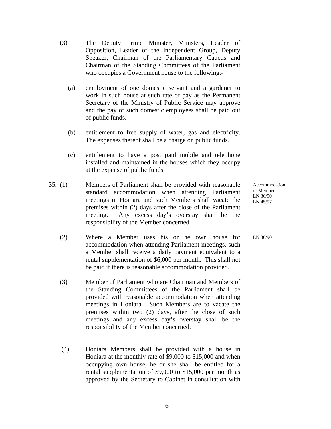- (3) The Deputy Prime Minister, Ministers, Leader of Opposition, Leader of the Independent Group, Deputy Speaker, Chairman of the Parliamentary Caucus and Chairman of the Standing Committees of the Parliament who occupies a Government house to the following:-
	- (a) employment of one domestic servant and a gardener to work in such house at such rate of pay as the Permanent Secretary of the Ministry of Public Service may approve and the pay of such domestic employees shall be paid out of public funds.
	- (b) entitlement to free supply of water, gas and electricity. The expenses thereof shall be a charge on public funds.
	- (c) entitlement to have a post paid mobile and telephone installed and maintained in the houses which they occupy at the expense of public funds.
- 35. (1) Members of Parliament shall be provided with reasonable standard accommodation when attending Parliament meetings in Honiara and such Members shall vacate the premises within (2) days after the close of the Parliament meeting. Any excess day's overstay shall be the responsibility of the Member concerned.
	- (2) Where a Member uses his or he own house for accommodation when attending Parliament meetings, such a Member shall receive a daily payment equivalent to a rental supplementation of \$6,000 per month. This shall not be paid if there is reasonable accommodation provided.
	- (3) Member of Parliament who are Chairman and Members of the Standing Committees of the Parliament shall be provided with reasonable accommodation when attending meetings in Honiara. Such Members are to vacate the premises within two (2) days, after the close of such meetings and any excess day's overstay shall be the responsibility of the Member concerned.
	- (4) Honiara Members shall be provided with a house in Honiara at the monthly rate of \$9,000 to \$15,000 and when occupying own house, he or she shall be entitled for a rental supplementation of \$9,000 to \$15,000 per month as approved by the Secretary to Cabinet in consultation with

Accommodation of Members LN 36/90 LN 45/97

LN 36/90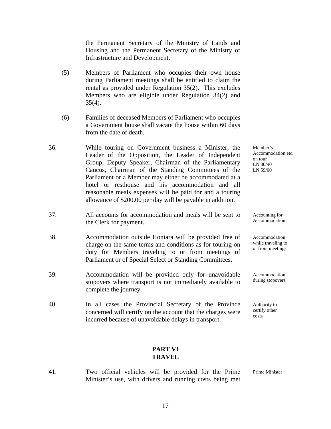the Permanent Secretary of the Ministry of Lands and Housing and the Permanent Secretary of the Ministry of Infrastructure and Development.

- (5) Members of Parliament who occupies their own house during Parliament meetings shall be entitled to claim the rental as provided under Regulation 35(2). This excludes Members who are eligible under Regulation 34(2) and  $35(4)$ .
- (6) Families of deceased Members of Parliament who occupies a Government house shall vacate the house within 60 days from the date of death.
- 36. While touring on Government business a Minister, the Leader of the Opposition, the Leader of Independent Group, Deputy Speaker, Chairman of the Parliamentary Caucus, Chairman of the Standing Committees of the Parliament or a Member may either be accommodated at a hotel or resthouse and his accommodation and all reasonable meals expenses will be paid for and a touring allowance of \$200.00 per day will be payable in addition.
- 37. All accounts for accommodation and meals will be sent to the Clerk for payment.
- 38. Accommodation outside Honiara will be provided free of charge on the same terms and conditions as for touring on duty for Members traveling to or from meetings of Parliament or of Special Select or Standing Committees.
- 39. Accommodation will be provided only for unavoidable stopovers where transport is not immediately available to complete the journey.
- 40. In all cases the Provincial Secretary of the Province concerned will certify on the account that the charges were incurred because of unavoidable delays in transport.

#### Member's Accommodation etc. on tour LN 30/90 LN 59/60

Accounting for Accommodation

Accommodation while traveling to or from meetings

Accommodation during stopovers

Authority to certify other costs

#### **PART VI TRAVEL**

41. Two official vehicles will be provided for the Prime Minister's use, with drivers and running costs being met Prime Minister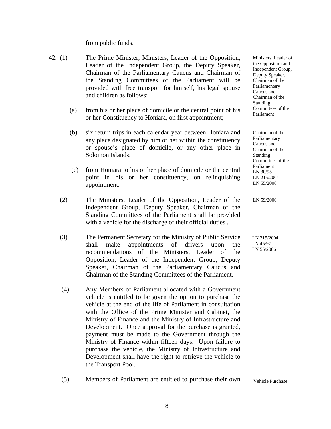from public funds.

- 42. (1) The Prime Minister, Ministers, Leader of the Opposition, Leader of the Independent Group, the Deputy Speaker, Chairman of the Parliamentary Caucus and Chairman of the Standing Committees of the Parliament will be provided with free transport for himself, his legal spouse and children as follows:
	- (a) from his or her place of domicile or the central point of his or her Constituency to Honiara, on first appointment;
	- (b) six return trips in each calendar year between Honiara and any place designated by him or her within the constituency or spouse's place of domicile, or any other place in Solomon Islands;
	- (c) from Honiara to his or her place of domicile or the central point in his or her constituency, on relinquishing appointment.
	- (2) The Ministers, Leader of the Opposition, Leader of the Independent Group, Deputy Speaker, Chairman of the Standing Committees of the Parliament shall be provided with a vehicle for the discharge of their official duties..
	- (3) The Permanent Secretary for the Ministry of Public Service shall make appointments of drivers upon the recommendations of the Ministers, Leader of the Opposition, Leader of the Independent Group, Deputy Speaker, Chairman of the Parliamentary Caucus and Chairman of the Standing Committees of the Parliament.
	- (4) Any Members of Parliament allocated with a Government vehicle is entitled to be given the option to purchase the vehicle at the end of the life of Parliament in consultation with the Office of the Prime Minister and Cabinet, the Ministry of Finance and the Ministry of Infrastructure and Development. Once approval for the purchase is granted, payment must be made to the Government through the Ministry of Finance within fifteen days. Upon failure to purchase the vehicle, the Ministry of Infrastructure and Development shall have the right to retrieve the vehicle to the Transport Pool.

Ministers, Leader of the Opposition and Independent Group, Deputy Speaker, Chairman of the Parliamentary Caucus and Chairman of the Standing Committees of the Parliament

Chairman of the Parliamentary Caucus and Chairman of the Standing Committees of the Parliament LN 30/95 LN 215/2004 LN 55/2006

LN 59/2000

 LN 215/2004 LN 45/97 LN 55/2006

 (5) Members of Parliament are entitled to purchase their own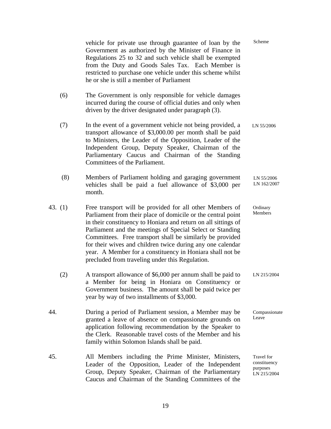|           | vehicle for private use through guarantee of loan by the<br>Government as authorized by the Minister of Finance in<br>Regulations 25 to 32 and such vehicle shall be exempted<br>from the Duty and Goods Sales Tax. Each Member is<br>restricted to purchase one vehicle under this scheme whilst<br>he or she is still a member of Parliament                                                                                                                                                     | Scheme                                                |
|-----------|----------------------------------------------------------------------------------------------------------------------------------------------------------------------------------------------------------------------------------------------------------------------------------------------------------------------------------------------------------------------------------------------------------------------------------------------------------------------------------------------------|-------------------------------------------------------|
| (6)       | The Government is only responsible for vehicle damages<br>incurred during the course of official duties and only when<br>driven by the driver designated under paragraph (3).                                                                                                                                                                                                                                                                                                                      |                                                       |
| (7)       | In the event of a government vehicle not being provided, a<br>transport allowance of \$3,000.00 per month shall be paid<br>to Ministers, the Leader of the Opposition, Leader of the<br>Independent Group, Deputy Speaker, Chairman of the<br>Parliamentary Caucus and Chairman of the Standing<br>Committees of the Parliament.                                                                                                                                                                   | LN 55/2006                                            |
| (8)       | Members of Parliament holding and garaging government<br>vehicles shall be paid a fuel allowance of \$3,000 per<br>month.                                                                                                                                                                                                                                                                                                                                                                          | LN 55/2006<br>LN 162/2007                             |
| 43. $(1)$ | Free transport will be provided for all other Members of<br>Parliament from their place of domicile or the central point<br>in their constituency to Honiara and return on all sittings of<br>Parliament and the meetings of Special Select or Standing<br>Committees. Free transport shall be similarly be provided<br>for their wives and children twice during any one calendar<br>year. A Member for a constituency in Honiara shall not be<br>precluded from traveling under this Regulation. | Ordinary<br>Members                                   |
| (2)       | A transport allowance of \$6,000 per annum shall be paid to<br>a Member for being in Honiara on Constituency or<br>Government business. The amount shall be paid twice per<br>year by way of two installments of \$3,000.                                                                                                                                                                                                                                                                          | LN 215/2004                                           |
| 44.       | During a period of Parliament session, a Member may be<br>granted a leave of absence on compassionate grounds on<br>application following recommendation by the Speaker to<br>the Clerk. Reasonable travel costs of the Member and his<br>family within Solomon Islands shall be paid.                                                                                                                                                                                                             | Compassionate<br>Leave                                |
| 45.       | All Members including the Prime Minister, Ministers,<br>Leader of the Opposition, Leader of the Independent<br>Group, Deputy Speaker, Chairman of the Parliamentary<br>Caucus and Chairman of the Standing Committees of the                                                                                                                                                                                                                                                                       | Travel for<br>constituency<br>purposes<br>LN 215/2004 |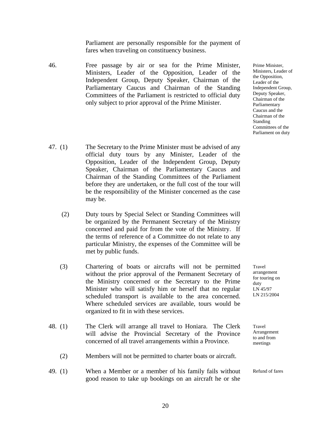Parliament are personally responsible for the payment of fares when traveling on constituency business.

- 46. Free passage by air or sea for the Prime Minister, Ministers, Leader of the Opposition, Leader of the Independent Group, Deputy Speaker, Chairman of the Parliamentary Caucus and Chairman of the Standing Committees of the Parliament is restricted to official duty only subject to prior approval of the Prime Minister.
- 47. (1) The Secretary to the Prime Minister must be advised of any official duty tours by any Minister, Leader of the Opposition, Leader of the Independent Group, Deputy Speaker, Chairman of the Parliamentary Caucus and Chairman of the Standing Committees of the Parliament before they are undertaken, or the full cost of the tour will be the responsibility of the Minister concerned as the case may be.
	- (2) Duty tours by Special Select or Standing Committees will be organized by the Permanent Secretary of the Ministry concerned and paid for from the vote of the Ministry. If the terms of reference of a Committee do not relate to any particular Ministry, the expenses of the Committee will be met by public funds.
	- (3) Chartering of boats or aircrafts will not be permitted without the prior approval of the Permanent Secretary of the Ministry concerned or the Secretary to the Prime Minister who will satisfy him or herself that no regular scheduled transport is available to the area concerned. Where scheduled services are available, tours would be organized to fit in with these services.
- 48. (1) The Clerk will arrange all travel to Honiara. The Clerk will advise the Provincial Secretary of the Province concerned of all travel arrangements within a Province.
	- (2) Members will not be permitted to charter boats or aircraft.
- 49. (1) When a Member or a member of his family fails without good reason to take up bookings on an aircraft he or she

Travel arrangement for touring on

duty LN 45/97 LN 215/2004

Prime Minister, Ministers, Leader of the Opposition, Leader of the Independent Group, Deputy Speaker, Chairman of the Parliamentary Caucus and the Chairman of the Standing

Committees of the Parliament on duty

Travel Arrangement to and from meetings

Refund of fares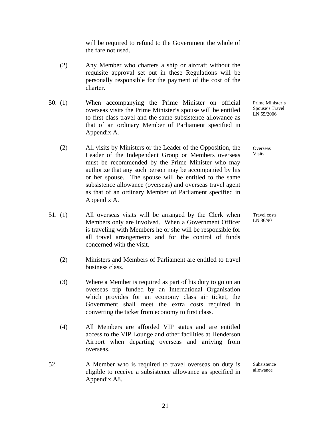will be required to refund to the Government the whole of the fare not used.

- (2) Any Member who charters a ship or aircraft without the requisite approval set out in these Regulations will be personally responsible for the payment of the cost of the charter.
- 50. (1) When accompanying the Prime Minister on official overseas visits the Prime Minister's spouse will be entitled to first class travel and the same subsistence allowance as that of an ordinary Member of Parliament specified in Appendix A.
	- (2) All visits by Ministers or the Leader of the Opposition, the Leader of the Independent Group or Members overseas must be recommended by the Prime Minister who may authorize that any such person may be accompanied by his or her spouse. The spouse will be entitled to the same subsistence allowance (overseas) and overseas travel agent as that of an ordinary Member of Parliament specified in Appendix A.
- 51. (1) All overseas visits will be arranged by the Clerk when Members only are involved. When a Government Officer is traveling with Members he or she will be responsible for all travel arrangements and for the control of funds concerned with the visit.
	- (2) Ministers and Members of Parliament are entitled to travel business class.
	- (3) Where a Member is required as part of his duty to go on an overseas trip funded by an International Organisation which provides for an economy class air ticket, the Government shall meet the extra costs required in converting the ticket from economy to first class.
	- (4) All Members are afforded VIP status and are entitled access to the VIP Lounge and other facilities at Henderson Airport when departing overseas and arriving from overseas.
- 52. A Member who is required to travel overseas on duty is eligible to receive a subsistence allowance as specified in Appendix A8.

Prime Minister's Spouse's Travel LN 55/2006

**Overseas** Visits

Travel costs LN 36/90

Subsistence allowance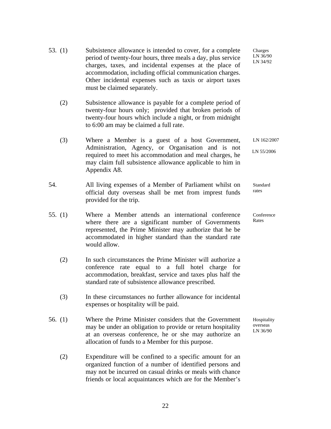- 53. (1) Subsistence allowance is intended to cover, for a complete period of twenty-four hours, three meals a day, plus service charges, taxes, and incidental expenses at the place of accommodation, including official communication charges. Other incidental expenses such as taxis or airport taxes must be claimed separately.
	- (2) Subsistence allowance is payable for a complete period of twenty-four hours only; provided that broken periods of twenty-four hours which include a night, or from midnight to 6:00 am may be claimed a full rate.
	- (3) Where a Member is a guest of a host Government, Administration, Agency, or Organisation and is not required to meet his accommodation and meal charges, he may claim full subsistence allowance applicable to him in Appendix A8.
- 54. All living expenses of a Member of Parliament whilst on official duty overseas shall be met from imprest funds provided for the trip.
- 55. (1) Where a Member attends an international conference where there are a significant number of Governments represented, the Prime Minister may authorize that he be accommodated in higher standard than the standard rate would allow.
	- (2) In such circumstances the Prime Minister will authorize a conference rate equal to a full hotel charge for accommodation, breakfast, service and taxes plus half the standard rate of subsistence allowance prescribed.
	- (3) In these circumstances no further allowance for incidental expenses or hospitality will be paid.
- 56. (1) Where the Prime Minister considers that the Government may be under an obligation to provide or return hospitality at an overseas conference, he or she may authorize an allocation of funds to a Member for this purpose.
	- (2) Expenditure will be confined to a specific amount for an organized function of a number of identified persons and may not be incurred on casual drinks or meals with chance friends or local acquaintances which are for the Member's

Charges LN 36/90 LN 34/92

LN 162/2007

LN 55/2006

**Standard** rates

Conference Rates

Hospitality overseas LN 36/90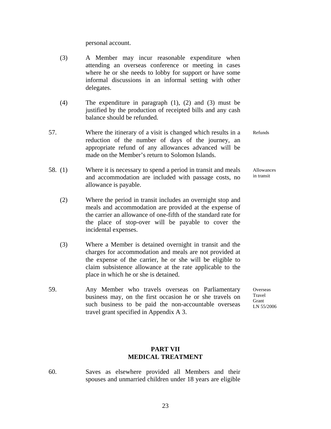personal account.

- (3) A Member may incur reasonable expenditure when attending an overseas conference or meeting in cases where he or she needs to lobby for support or have some informal discussions in an informal setting with other delegates.
- (4) The expenditure in paragraph  $(1)$ ,  $(2)$  and  $(3)$  must be justified by the production of receipted bills and any cash balance should be refunded.
- 57. Where the itinerary of a visit is changed which results in a reduction of the number of days of the journey, an appropriate refund of any allowances advanced will be made on the Member's return to Solomon Islands.
- 58. (1) Where it is necessary to spend a period in transit and meals and accommodation are included with passage costs, no allowance is payable.
	- (2) Where the period in transit includes an overnight stop and meals and accommodation are provided at the expense of the carrier an allowance of one-fifth of the standard rate for the place of stop-over will be payable to cover the incidental expenses.
	- (3) Where a Member is detained overnight in transit and the charges for accommodation and meals are not provided at the expense of the carrier, he or she will be eligible to claim subsistence allowance at the rate applicable to the place in which he or she is detained.
- 59. Any Member who travels overseas on Parliamentary business may, on the first occasion he or she travels on such business to be paid the non-accountable overseas travel grant specified in Appendix A 3.

#### **PART VII MEDICAL TREATMENT**

60. Saves as elsewhere provided all Members and their spouses and unmarried children under 18 years are eligible

23

Refunds

Allowances in transit

**Overseas** Travel **Grant** LN 55/2006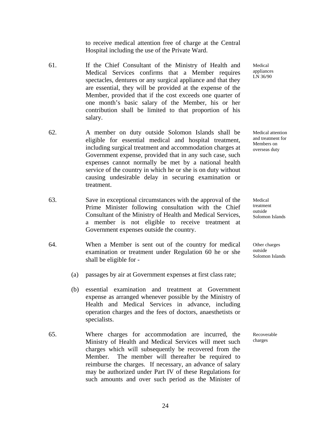to receive medical attention free of charge at the Central Hospital including the use of the Private Ward.

- 61. If the Chief Consultant of the Ministry of Health and Medical Services confirms that a Member requires spectacles, dentures or any surgical appliance and that they are essential, they will be provided at the expense of the Member, provided that if the cost exceeds one quarter of one month's basic salary of the Member, his or her contribution shall be limited to that proportion of his salary.
- 62. A member on duty outside Solomon Islands shall be eligible for essential medical and hospital treatment, including surgical treatment and accommodation charges at Government expense, provided that in any such case, such expenses cannot normally be met by a national health service of the country in which he or she is on duty without causing undesirable delay in securing examination or treatment.
- 63. Save in exceptional circumstances with the approval of the Prime Minister following consultation with the Chief Consultant of the Ministry of Health and Medical Services, a member is not eligible to receive treatment at Government expenses outside the country.
- 64. When a Member is sent out of the country for medical examination or treatment under Regulation 60 he or she shall be eligible for -
	- (a) passages by air at Government expenses at first class rate;
	- (b) essential examination and treatment at Government expense as arranged whenever possible by the Ministry of Health and Medical Services in advance, including operation charges and the fees of doctors, anaesthetists or specialists.
- 65. Where charges for accommodation are incurred, the Ministry of Health and Medical Services will meet such charges which will subsequently be recovered from the Member. The member will thereafter be required to reimburse the charges. If necessary, an advance of salary may be authorized under Part IV of these Regulations for such amounts and over such period as the Minister of

Medical appliances LN 36/90

Medical attention and treatment for Members on overseas duty

Medical treatment outside Solomon Islands

Other charges outside Solomon Islands

Recoverable charges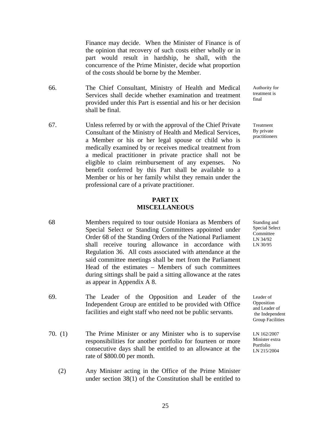Finance may decide. When the Minister of Finance is of the opinion that recovery of such costs either wholly or in part would result in hardship, he shall, with the concurrence of the Prime Minister, decide what proportion of the costs should be borne by the Member.

- 66. The Chief Consultant, Ministry of Health and Medical Services shall decide whether examination and treatment provided under this Part is essential and his or her decision shall be final.
- 67. Unless referred by or with the approval of the Chief Private Consultant of the Ministry of Health and Medical Services, a Member or his or her legal spouse or child who is medically examined by or receives medical treatment from a medical practitioner in private practice shall not be eligible to claim reimbursement of any expenses. No benefit conferred by this Part shall be available to a Member or his or her family whilst they remain under the professional care of a private practitioner.

#### **PART IX MISCELLANEOUS**

- 68 Members required to tour outside Honiara as Members of Special Select or Standing Committees appointed under Order 68 of the Standing Orders of the National Parliament shall receive touring allowance in accordance with Regulation 36. All costs associated with attendance at the said committee meetings shall be met from the Parliament Head of the estimates – Members of such committees during sittings shall be paid a sitting allowance at the rates as appear in Appendix A 8.
- 69. The Leader of the Opposition and Leader of the Independent Group are entitled to be provided with Office facilities and eight staff who need not be public servants.
- 70. (1) The Prime Minister or any Minister who is to supervise responsibilities for another portfolio for fourteen or more consecutive days shall be entitled to an allowance at the rate of \$800.00 per month.
	- (2) Any Minister acting in the Office of the Prime Minister under section 38(1) of the Constitution shall be entitled to

Authority for treatment is final

Treatment By private practitioners

Standing and Special Select Committee LN 34/92 LN 30/95

Leader of Opposition and Leader of the Independent Group Facilities

LN 162/2007 Minister extra Portfolio LN 215/2004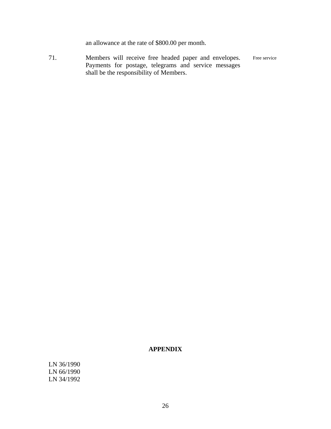an allowance at the rate of \$800.00 per month.

71. Members will receive free headed paper and envelopes. Payments for postage, telegrams and service messages shall be the responsibility of Members. Free service

#### **APPENDIX**

LN 36/1990 LN 66/1990 LN 34/1992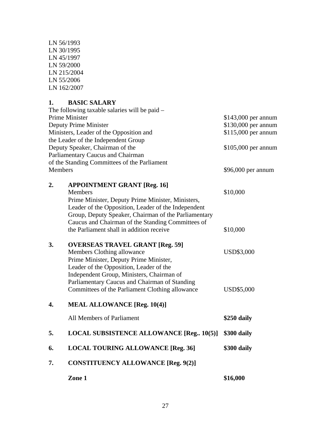| LN 56/1993  |
|-------------|
| LN 30/1995  |
| LN 45/1997  |
| LN 59/2000  |
| LN 215/2004 |
| LN 55/2006  |
| LN 162/2007 |

## **1. BASIC SALARY**

|                | Zone 1                                                                                                                                                                                                                                                                                                                    | \$16,000                                   |
|----------------|---------------------------------------------------------------------------------------------------------------------------------------------------------------------------------------------------------------------------------------------------------------------------------------------------------------------------|--------------------------------------------|
| 7.             | <b>CONSTITUENCY ALLOWANCE [Reg. 9(2)]</b>                                                                                                                                                                                                                                                                                 |                                            |
| 6.             | <b>LOCAL TOURING ALLOWANCE [Reg. 36]</b>                                                                                                                                                                                                                                                                                  | \$300 daily                                |
| 5.             | <b>LOCAL SUBSISTENCE ALLOWANCE [Reg., 10(5)]</b>                                                                                                                                                                                                                                                                          | \$300 daily                                |
|                | All Members of Parliament                                                                                                                                                                                                                                                                                                 | \$250 daily                                |
| 4.             | <b>MEAL ALLOWANCE [Reg. 10(4)]</b>                                                                                                                                                                                                                                                                                        |                                            |
| 3.             | <b>OVERSEAS TRAVEL GRANT [Reg. 59]</b><br>Members Clothing allowance<br>Prime Minister, Deputy Prime Minister,<br>Leader of the Opposition, Leader of the<br>Independent Group, Ministers, Chairman of<br>Parliamentary Caucus and Chairman of Standing<br>Committees of the Parliament Clothing allowance                | <b>USD\$3,000</b><br><b>USD\$5,000</b>     |
| 2.             | <b>APPOINTMENT GRANT [Reg. 16]</b><br><b>Members</b><br>Prime Minister, Deputy Prime Minister, Ministers,<br>Leader of the Opposition, Leader of the Independent<br>Group, Deputy Speaker, Chairman of the Parliamentary<br>Caucus and Chairman of the Standing Committees of<br>the Parliament shall in addition receive | \$10,000<br>\$10,000                       |
| <b>Members</b> | Parliamentary Caucus and Chairman<br>of the Standing Committees of the Parliament                                                                                                                                                                                                                                         | \$96,000 per annum                         |
|                | the Leader of the Independent Group<br>Deputy Speaker, Chairman of the                                                                                                                                                                                                                                                    | \$105,000 per annum                        |
|                | Deputy Prime Minister<br>Ministers, Leader of the Opposition and                                                                                                                                                                                                                                                          | \$130,000 per annum<br>\$115,000 per annum |
|                | The following taxable salaries will be paid -<br><b>Prime Minister</b>                                                                                                                                                                                                                                                    | \$143,000 per annum                        |
|                |                                                                                                                                                                                                                                                                                                                           |                                            |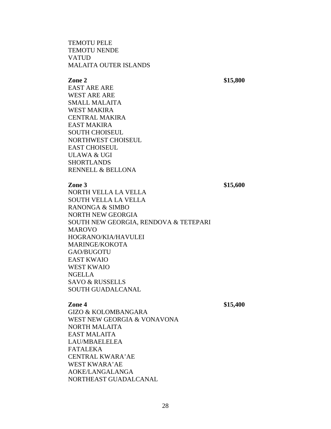#### TEMOTU PELE TEMOTU NENDE VATUD MALAITA OUTER ISLANDS

 **Zone 2** \$15,800

 EAST ARE ARE WEST ARE ARE SMALL MALAITA WEST MAKIRA CENTRAL MAKIRA EAST MAKIRA SOUTH CHOISEUL NORTHWEST CHOISEUL EAST CHOISEUL ULAWA & UGI SHORTLANDS RENNELL & BELLONA

#### **Zone 3** \$15,600

 NORTH VELLA LA VELLA SOUTH VELLA LA VELLA RANONGA & SIMBO NORTH NEW GEORGIA SOUTH NEW GEORGIA, RENDOVA & TETEPARI MAROVO HOGRANO/KIA/HAVULEI MARINGE/KOKOTA GAO/BUGOTU EAST KWAIO WEST KWAIO NGELLA SAVO & RUSSELLS SOUTH GUADALCANAL

 **Zone 4** \$15,400

 GIZO & KOLOMBANGARA WEST NEW GEORGIA & VONAVONA NORTH MALAITA EAST MALAITA LAU/MBAELELEA FATALEKA CENTRAL KWARA'AE WEST KWARA'AE AOKE/LANGALANGA NORTHEAST GUADALCANAL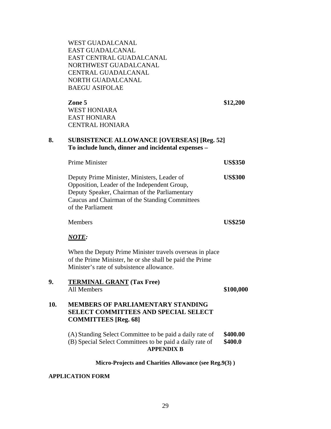| <b>WEST GUADALCANAL</b>  |
|--------------------------|
| EAST GUADALCANAL         |
| EAST CENTRAL GUADALCANAL |
| NORTHWEST GUADALCANAL    |
| CENTRAL GUADALCANAL      |
| NORTH GUADALCANAL        |
| <b>BAEGU ASIFOLAE</b>    |

 **Zone 5 \$12,200** WEST HONIARA EAST HONIARA CENTRAL HONIARA

#### **8. SUBSISTENCE ALLOWANCE [OVERSEAS] [Reg. 52] To include lunch, dinner and incidental expenses –**

| Prime Minister                                                                                                                                                                                                      | <b>US\$350</b> |
|---------------------------------------------------------------------------------------------------------------------------------------------------------------------------------------------------------------------|----------------|
| Deputy Prime Minister, Ministers, Leader of<br>Opposition, Leader of the Independent Group,<br>Deputy Speaker, Chairman of the Parliamentary<br>Caucus and Chairman of the Standing Committees<br>of the Parliament | <b>US\$300</b> |
|                                                                                                                                                                                                                     |                |

Members **US\$250**

#### *NOTE:*

When the Deputy Prime Minister travels overseas in place of the Prime Minister, he or she shall be paid the Prime Minister's rate of subsistence allowance.

# **9. TERMINAL GRANT (Tax Free)**  All Members **\$100,000 10. MEMBERS OF PARLIAMENTARY STANDING SELECT COMMITTEES AND SPECIAL SELECT COMMITTEES [Reg. 68]**  (A) Standing Select Committee to be paid a daily rate of **\$400.00** (B) Special Select Committees to be paid a daily rate of **\$400.0**

**APPENDIX B** 

#### **Micro-Projects and Charities Allowance (see Reg.9(3) )**

#### **APPLICATION FORM**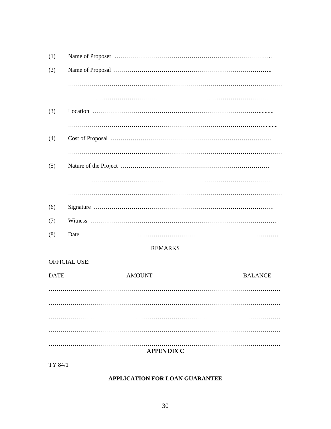| (1) |                |
|-----|----------------|
| (2) |                |
|     |                |
|     |                |
| (3) |                |
|     |                |
| (4) |                |
|     |                |
| (5) |                |
|     |                |
|     |                |
| (6) |                |
| (7) |                |
| (8) |                |
|     | <b>REMARKS</b> |

#### **OFFICIAL USE:**

| <b>DATE</b> | <b>AMOUNT</b>     | <b>BALANCE</b> |
|-------------|-------------------|----------------|
|             |                   |                |
|             |                   |                |
|             |                   |                |
|             |                   |                |
|             |                   |                |
|             | <b>APPENDIX C</b> |                |

TY 84/1

#### APPLICATION FOR LOAN GUARANTEE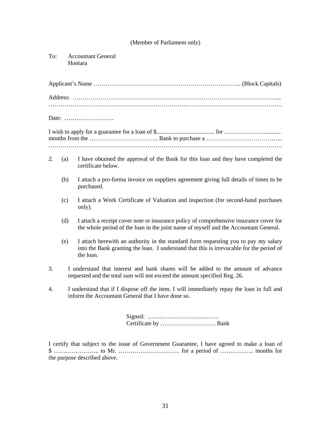#### (Member of Parliament only)

To: Accountant General Honiara

Date: …………………….

- 2. (a) I have obtained the approval of the Bank for this loan and they have completed the certificate below.
	- (b) I attach a pro-forma invoice on suppliers agreement giving full details of times to be purchased.
	- (c) I attach a Work Certificate of Valuation and inspection (for second-hand purchases only).
	- (d) I attach a receipt cover note or insurance policy of comprehensive insurance cover for the whole period of the loan in the joint name of myself and the Accountant General.
	- (e) I attach herewith an authority in the standard form requesting you to pay my salary into the Bank granting the loan. I understand that this is irrevocable for the period of the loan.
- 3. I understand that interest and bank shares will be added to the amount of advance requested and the total sum will not exceed the amount specified Reg. 26.
- 4. I understand that if I dispose off the item. I will immediately repay the loan in full and inform the Accountant General that I have done so.

 Signed: ……………………………… Certificate by ………………………. Bank

I certify that subject to the issue of Government Guarantee, I have agreed to make a loan of \$ ………………….. to Mr. …………………………. for a period of …………….. months for the purpose described above.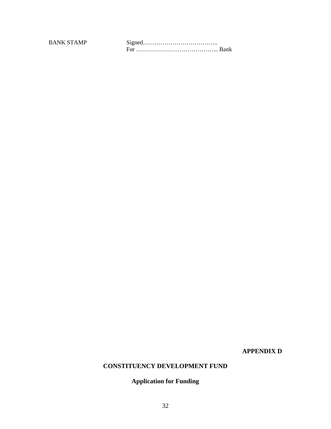BANK STAMP Signed……………………………….. For …………………………………... Bank

**APPENDIX D** 

#### **CONSTITUENCY DEVELOPMENT FUND**

### **Application for Funding**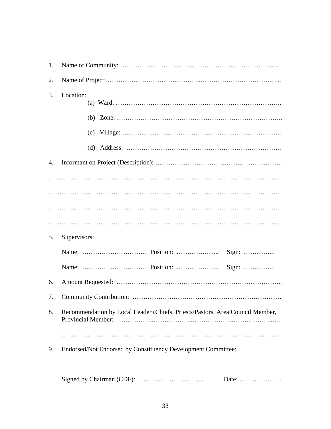| 1. |                                                                               |
|----|-------------------------------------------------------------------------------|
| 2. |                                                                               |
| 3. | Location:                                                                     |
|    |                                                                               |
|    |                                                                               |
|    |                                                                               |
| 4. |                                                                               |
|    |                                                                               |
|    |                                                                               |
|    |                                                                               |
|    |                                                                               |
|    |                                                                               |
| 5. | Supervisors:                                                                  |
|    |                                                                               |
|    |                                                                               |
| 6. |                                                                               |
| 7. |                                                                               |
| 8. | Recommendation by Local Leader (Chiefs, Priests/Pastors, Area Council Member, |
|    |                                                                               |
| 9. | Endorsed/Not Endorsed by Constituency Development Committee:                  |

Signed by Chairman (CDF): …………………………. Date: ………………..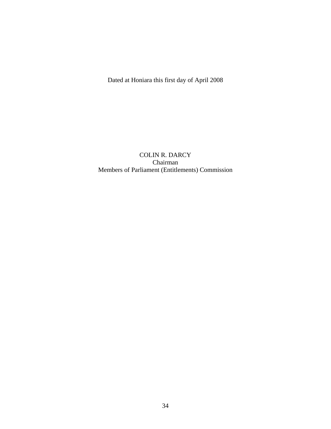Dated at Honiara this first day of April 2008

COLIN R. DARCY Chairman Members of Parliament (Entitlements) Commission